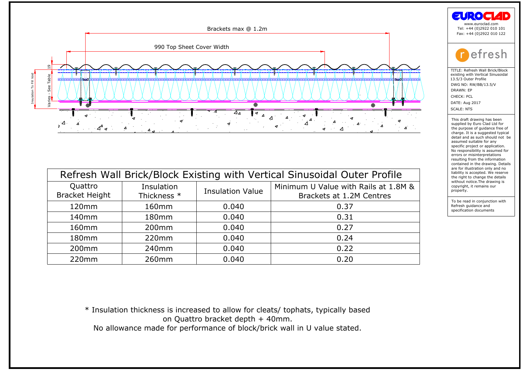

| Quattro<br><b>Bracket Height</b> | Insulation<br>Thickness * | <b>Insulation Value</b> | Minimum U Value with Rails at 1.8M &<br>Brackets at 1.2M Centres                  |
|----------------------------------|---------------------------|-------------------------|-----------------------------------------------------------------------------------|
| 120mm                            | 160mm                     | 0.040                   | 0.37                                                                              |
| 140 <sub>mm</sub>                | 180mm                     | 0.040                   | 0.31                                                                              |
| 160 <sub>mm</sub>                | 200 <sub>mm</sub>         | 0.040                   | 0.27                                                                              |
| 180mm                            | 220mm                     | 0.040                   | 0.24                                                                              |
| 200 <sub>mm</sub>                | 240 <sub>mm</sub>         | 0.040                   | 0.22                                                                              |
| 220mm                            | 260 <sub>mm</sub>         | 0.040                   | 0.20                                                                              |
|                                  |                           |                         | * Insulation thickness is increased to allow for cleats/ tophats, typically based |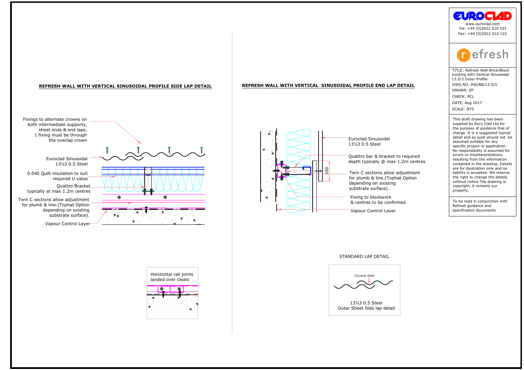# ust be through<br>overlap crown<br>clad Sinusoidal<br>13½3 0.5 Steel<br>sulation to suit<br>quired U value<br>Quattro Bracket xings to alternate crowns on<br>
both intermediate supports,<br>
sheet ends & end laps.<br>
1.1 fixing must be through<br>
the overlap crown<br>
Euroclad Sinusoidal<br>
1.3%3 0.5 Steel<br>
0.040 Quilt insulation to suit<br>
required U value<br>
Qua elending on existing<br>
Vapour Control Layer<br>
Vapour Control Layer<br>
Vapour Control Layer<br>
Vapour Control Layer<br>
Vapour Control Layer<br>
Vapour Control Layer<br>
Vapour Control Layer<br>
Vapour Control Layer<br>
Vapour Control Layer<br>
Va STANDARD LAP DETAIL EUROPEAN ARTICLE SINUSOIDAL PROFILE SIDE LAP DETAIL<br>
STANDARD LAP INTERESH WALL WITH VERTICAL SINUSOIDAL PROFILE END L<br>
FIXIS ON STREET AND ARTICLE SUPPORTS, SHEET AND ARTICLE SUPPORTS, SHEET AND ARTICL Outer Sheet Side lap detail Vapour Control Layer Horizontal rail joints landed over cleats Twin C sections allow adjustment for plumb & line.(Tophat Option depending on existing substrate surface). **REFRESH WALL WITH VERTICAL SINUSOIDAL PROFILE SIDE LAP DETAIL REFRESH WALL WITH VERTICAL SINUSOIDAL PROFILE END LAP DETAIL** Twin C sections allow adjustment for plumb & line.(Tophat Option depending on existing substrate surface). TITLE: Refresh Wall Brick/Block existing with Vertical Sinusoidal 13.5/3 Outer Profile DWG NO: RW/BB/13.5/V DRAWN: EP DATE: Aug 2017 CHECK: PCL SCALE: NTS To be read in conjunction with Refresh guidance and specification documents This draft drawing has been supplied by Euro Clad Ltd for the purpose of guidance free of charge. It is a suggested typical detail and as such should not be assumed suitable for any specific project or application. No responsibility is assumed for errors or misinterpretations resulting from the information contained in the drawing. Details are for illustration only and no liability is accepted. We reserve the right to change the details without notice.The drawing is copyright, it remains our property. [Fax: +44 \(0\)2922 010 122](mailto:enquires@euroclad.co.uk) www.euroclad.com Tel: +44 (0)2922 010 101





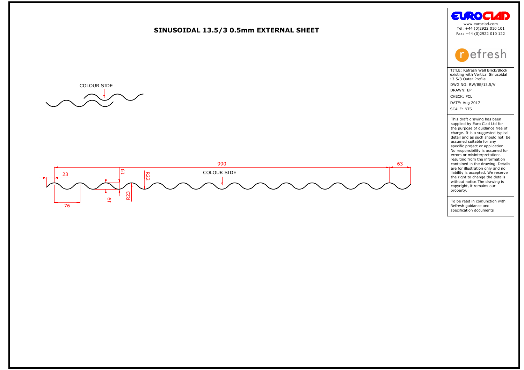







the purpose of guidance free compase of guidance free cheater detail and as such should not assumed suitable for any specific project or application. No responsibility is assumed ferrors or misinterpretations contained in **Example 18 and 18 and 18 and 18 and 18 and 18 and 18 and 18 and 18 and 18 and 18 and 18 and 18 and 18 and 18 and 18 and 18 and 18 and 18 and 18 and 18 and 18 and 18 and 18 and 18 and 18 and 18 and 18 and 18 and 18 and 18**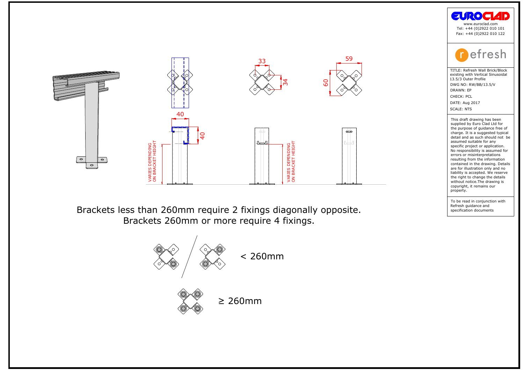